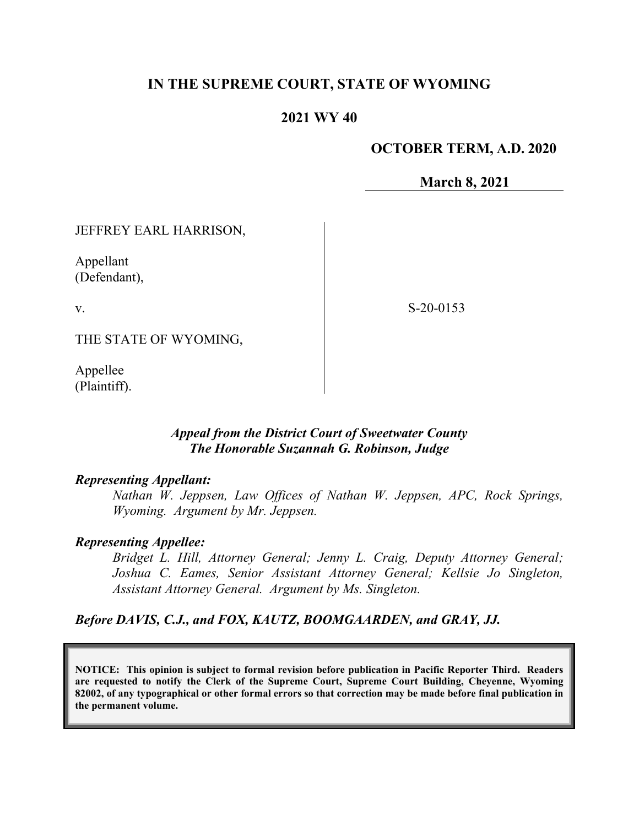# **IN THE SUPREME COURT, STATE OF WYOMING**

### **2021 WY 40**

#### **OCTOBER TERM, A.D. 2020**

**March 8, 2021**

JEFFREY EARL HARRISON,

Appellant (Defendant),

v.

S-20-0153

THE STATE OF WYOMING,

Appellee (Plaintiff).

### *Appeal from the District Court of Sweetwater County The Honorable Suzannah G. Robinson, Judge*

#### *Representing Appellant:*

*Nathan W. Jeppsen, Law Offices of Nathan W. Jeppsen, APC, Rock Springs, Wyoming. Argument by Mr. Jeppsen.*

#### *Representing Appellee:*

*Bridget L. Hill, Attorney General; Jenny L. Craig, Deputy Attorney General; Joshua C. Eames, Senior Assistant Attorney General; Kellsie Jo Singleton, Assistant Attorney General. Argument by Ms. Singleton.*

*Before DAVIS, C.J., and FOX, KAUTZ, BOOMGAARDEN, and GRAY, JJ.*

**NOTICE: This opinion is subject to formal revision before publication in Pacific Reporter Third. Readers are requested to notify the Clerk of the Supreme Court, Supreme Court Building, Cheyenne, Wyoming 82002, of any typographical or other formal errors so that correction may be made before final publication in the permanent volume.**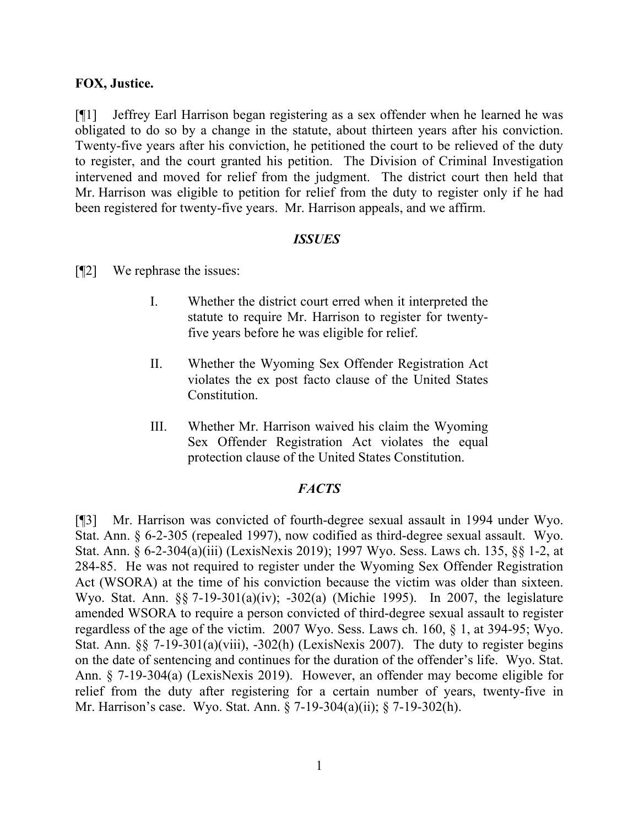#### **FOX, Justice.**

[¶1] Jeffrey Earl Harrison began registering as a sex offender when he learned he was obligated to do so by a change in the statute, about thirteen years after his conviction. Twenty-five years after his conviction, he petitioned the court to be relieved of the duty to register, and the court granted his petition. The Division of Criminal Investigation intervened and moved for relief from the judgment. The district court then held that Mr. Harrison was eligible to petition for relief from the duty to register only if he had been registered for twenty-five years. Mr. Harrison appeals, and we affirm.

#### *ISSUES*

- [¶2] We rephrase the issues:
	- I. Whether the district court erred when it interpreted the statute to require Mr. Harrison to register for twentyfive years before he was eligible for relief.
	- II. Whether the Wyoming Sex Offender Registration Act violates the ex post facto clause of the United States Constitution.
	- III. Whether Mr. Harrison waived his claim the Wyoming Sex Offender Registration Act violates the equal protection clause of the United States Constitution.

#### *FACTS*

[¶3] Mr. Harrison was convicted of fourth-degree sexual assault in 1994 under Wyo. Stat. Ann. § 6-2-305 (repealed 1997), now codified as third-degree sexual assault. Wyo. Stat. Ann. § 6-2-304(a)(iii) (LexisNexis 2019); 1997 Wyo. Sess. Laws ch. 135, §§ 1-2, at 284-85. He was not required to register under the Wyoming Sex Offender Registration Act (WSORA) at the time of his conviction because the victim was older than sixteen. Wyo. Stat. Ann. §§ 7-19-301(a)(iv); -302(a) (Michie 1995). In 2007, the legislature amended WSORA to require a person convicted of third-degree sexual assault to register regardless of the age of the victim. 2007 Wyo. Sess. Laws ch. 160, § 1, at 394-95; Wyo. Stat. Ann. §§ 7-19-301(a)(viii), -302(h) (LexisNexis 2007). The duty to register begins on the date of sentencing and continues for the duration of the offender's life. Wyo. Stat. Ann. § 7-19-304(a) (LexisNexis 2019). However, an offender may become eligible for relief from the duty after registering for a certain number of years, twenty-five in Mr. Harrison's case. Wyo. Stat. Ann. § 7-19-304(a)(ii); § 7-19-302(h).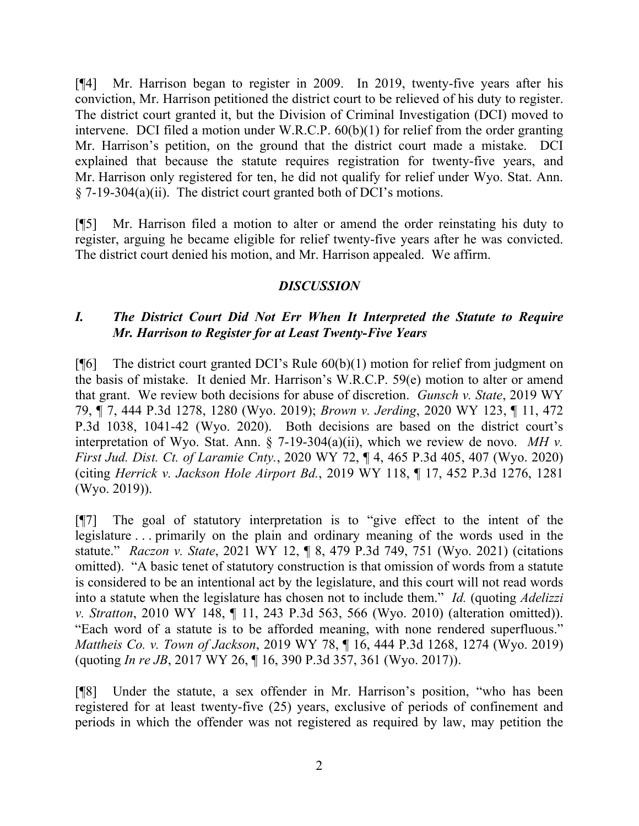[¶4] Mr. Harrison began to register in 2009. In 2019, twenty-five years after his conviction, Mr. Harrison petitioned the district court to be relieved of his duty to register. The district court granted it, but the Division of Criminal Investigation (DCI) moved to intervene. DCI filed a motion under W.R.C.P. 60(b)(1) for relief from the order granting Mr. Harrison's petition, on the ground that the district court made a mistake. DCI explained that because the statute requires registration for twenty-five years, and Mr. Harrison only registered for ten, he did not qualify for relief under Wyo. Stat. Ann.  $§$  7-19-304(a)(ii). The district court granted both of DCI's motions.

[¶5] Mr. Harrison filed a motion to alter or amend the order reinstating his duty to register, arguing he became eligible for relief twenty-five years after he was convicted. The district court denied his motion, and Mr. Harrison appealed. We affirm.

# *DISCUSSION*

# *I. The District Court Did Not Err When It Interpreted the Statute to Require Mr. Harrison to Register for at Least Twenty-Five Years*

[ $[$ [6] The district court granted DCI's Rule  $60(b)(1)$  motion for relief from judgment on the basis of mistake. It denied Mr. Harrison's W.R.C.P. 59(e) motion to alter or amend that grant. We review both decisions for abuse of discretion. *Gunsch v. State*, 2019 WY 79, ¶ 7, 444 P.3d 1278, 1280 (Wyo. 2019); *Brown v. Jerding*, 2020 WY 123, ¶ 11, 472 P.3d 1038, 1041-42 (Wyo. 2020). Both decisions are based on the district court's interpretation of Wyo. Stat. Ann. § 7-19-304(a)(ii), which we review de novo. *MH v. First Jud. Dist. Ct. of Laramie Cnty.*, 2020 WY 72, ¶ 4, 465 P.3d 405, 407 (Wyo. 2020) (citing *Herrick v. Jackson Hole Airport Bd.*, 2019 WY 118, ¶ 17, 452 P.3d 1276, 1281 (Wyo. 2019)).

[¶7] The goal of statutory interpretation is to "give effect to the intent of the legislature . . . primarily on the plain and ordinary meaning of the words used in the statute." *Raczon v. State*, 2021 WY 12, ¶ 8, 479 P.3d 749, 751 (Wyo. 2021) (citations omitted). "A basic tenet of statutory construction is that omission of words from a statute is considered to be an intentional act by the legislature, and this court will not read words into a statute when the legislature has chosen not to include them." *Id.* (quoting *Adelizzi v. Stratton*, 2010 WY 148, ¶ 11, 243 P.3d 563, 566 (Wyo. 2010) (alteration omitted)). "Each word of a statute is to be afforded meaning, with none rendered superfluous." *Mattheis Co. v. Town of Jackson*, 2019 WY 78, ¶ 16, 444 P.3d 1268, 1274 (Wyo. 2019) (quoting *In re JB*, 2017 WY 26, ¶ 16, 390 P.3d 357, 361 (Wyo. 2017)).

[¶8] Under the statute, a sex offender in Mr. Harrison's position, "who has been registered for at least twenty-five (25) years, exclusive of periods of confinement and periods in which the offender was not registered as required by law, may petition the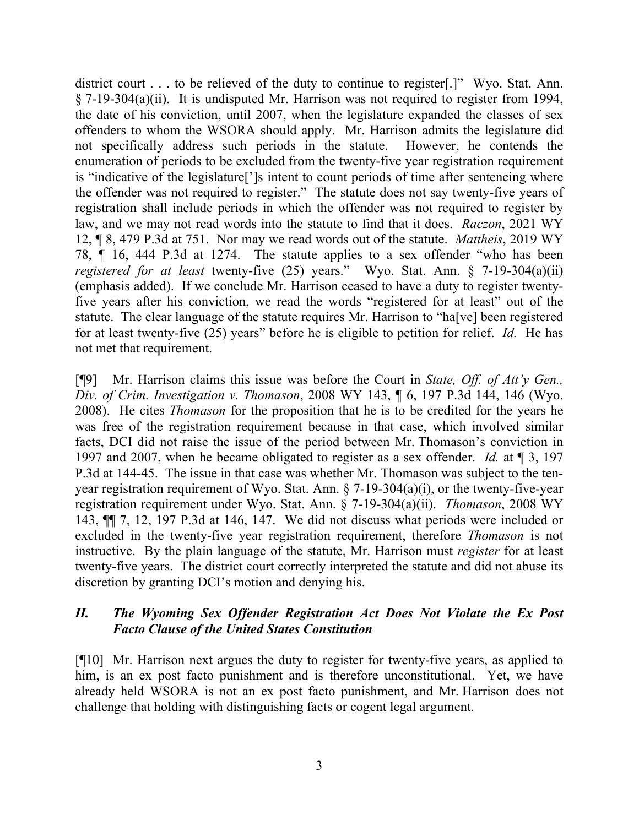district court . . . to be relieved of the duty to continue to register.<sup>[1]</sup> Wyo. Stat. Ann. § 7-19-304(a)(ii). It is undisputed Mr. Harrison was not required to register from 1994, the date of his conviction, until 2007, when the legislature expanded the classes of sex offenders to whom the WSORA should apply. Mr. Harrison admits the legislature did not specifically address such periods in the statute. However, he contends the enumeration of periods to be excluded from the twenty-five year registration requirement is "indicative of the legislature[']s intent to count periods of time after sentencing where the offender was not required to register." The statute does not say twenty-five years of registration shall include periods in which the offender was not required to register by law, and we may not read words into the statute to find that it does. *Raczon*, 2021 WY 12, ¶ 8, 479 P.3d at 751. Nor may we read words out of the statute. *Mattheis*, 2019 WY 78, ¶ 16, 444 P.3d at 1274. The statute applies to a sex offender "who has been *registered for at least* twenty-five (25) years." Wyo. Stat. Ann. § 7-19-304(a)(ii) (emphasis added). If we conclude Mr. Harrison ceased to have a duty to register twentyfive years after his conviction, we read the words "registered for at least" out of the statute. The clear language of the statute requires Mr. Harrison to "ha[ve] been registered for at least twenty-five (25) years" before he is eligible to petition for relief. *Id.* He has not met that requirement.

[¶9] Mr. Harrison claims this issue was before the Court in *State, Off. of Att'y Gen., Div. of Crim. Investigation v. Thomason*, 2008 WY 143, ¶ 6, 197 P.3d 144, 146 (Wyo. 2008). He cites *Thomason* for the proposition that he is to be credited for the years he was free of the registration requirement because in that case, which involved similar facts, DCI did not raise the issue of the period between Mr. Thomason's conviction in 1997 and 2007, when he became obligated to register as a sex offender. *Id.* at ¶ 3, 197 P.3d at 144-45. The issue in that case was whether Mr. Thomason was subject to the tenyear registration requirement of Wyo. Stat. Ann. § 7-19-304(a)(i), or the twenty-five-year registration requirement under Wyo. Stat. Ann. § 7-19-304(a)(ii). *Thomason*, 2008 WY 143, ¶¶ 7, 12, 197 P.3d at 146, 147. We did not discuss what periods were included or excluded in the twenty-five year registration requirement, therefore *Thomason* is not instructive. By the plain language of the statute, Mr. Harrison must *register* for at least twenty-five years. The district court correctly interpreted the statute and did not abuse its discretion by granting DCI's motion and denying his.

### *II. The Wyoming Sex Offender Registration Act Does Not Violate the Ex Post Facto Clause of the United States Constitution*

[¶10] Mr. Harrison next argues the duty to register for twenty-five years, as applied to him, is an ex post facto punishment and is therefore unconstitutional. Yet, we have already held WSORA is not an ex post facto punishment, and Mr. Harrison does not challenge that holding with distinguishing facts or cogent legal argument.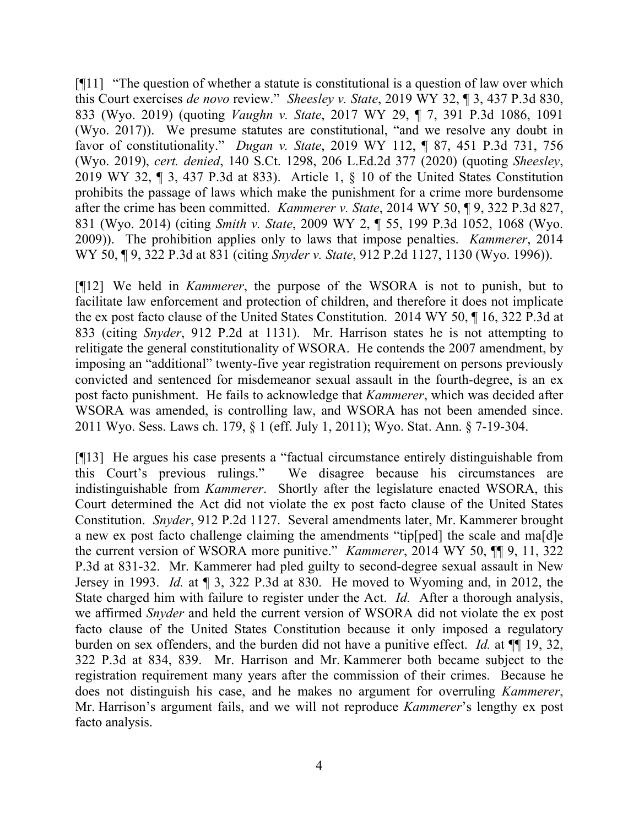[¶11] "The question of whether a statute is constitutional is a question of law over which this Court exercises *de novo* review." *Sheesley v. State*, 2019 WY 32, ¶ 3, 437 P.3d 830, 833 (Wyo. 2019) (quoting *Vaughn v. State*, 2017 WY 29, ¶ 7, 391 P.3d 1086, 1091 (Wyo. 2017)). We presume statutes are constitutional, "and we resolve any doubt in favor of constitutionality." *Dugan v. State*, 2019 WY 112, ¶ 87, 451 P.3d 731, 756 (Wyo. 2019), *cert. denied*, 140 S.Ct. 1298, 206 L.Ed.2d 377 (2020) (quoting *Sheesley*, 2019 WY 32, ¶ 3, 437 P.3d at 833). Article 1, § 10 of the United States Constitution prohibits the passage of laws which make the punishment for a crime more burdensome after the crime has been committed. *Kammerer v. State*, 2014 WY 50, ¶ 9, 322 P.3d 827, 831 (Wyo. 2014) (citing *Smith v. State*, 2009 WY 2, ¶ 55, 199 P.3d 1052, 1068 (Wyo. 2009)). The prohibition applies only to laws that impose penalties. *Kammerer*, 2014 WY 50, ¶ 9, 322 P.3d at 831 (citing *Snyder v. State*, 912 P.2d 1127, 1130 (Wyo. 1996)).

[¶12] We held in *Kammerer*, the purpose of the WSORA is not to punish, but to facilitate law enforcement and protection of children, and therefore it does not implicate the ex post facto clause of the United States Constitution. 2014 WY 50, ¶ 16, 322 P.3d at 833 (citing *Snyder*, 912 P.2d at 1131). Mr. Harrison states he is not attempting to relitigate the general constitutionality of WSORA. He contends the 2007 amendment, by imposing an "additional" twenty-five year registration requirement on persons previously convicted and sentenced for misdemeanor sexual assault in the fourth-degree, is an ex post facto punishment. He fails to acknowledge that *Kammerer*, which was decided after WSORA was amended, is controlling law, and WSORA has not been amended since. 2011 Wyo. Sess. Laws ch. 179, § 1 (eff. July 1, 2011); Wyo. Stat. Ann. § 7-19-304.

[¶13] He argues his case presents a "factual circumstance entirely distinguishable from this Court's previous rulings." We disagree because his circumstances are indistinguishable from *Kammerer*. Shortly after the legislature enacted WSORA, this Court determined the Act did not violate the ex post facto clause of the United States Constitution. *Snyder*, 912 P.2d 1127. Several amendments later, Mr. Kammerer brought a new ex post facto challenge claiming the amendments "tip[ped] the scale and ma[d]e the current version of WSORA more punitive." *Kammerer*, 2014 WY 50, ¶¶ 9, 11, 322 P.3d at 831-32. Mr. Kammerer had pled guilty to second-degree sexual assault in New Jersey in 1993. *Id.* at ¶ 3, 322 P.3d at 830. He moved to Wyoming and, in 2012, the State charged him with failure to register under the Act. *Id.* After a thorough analysis, we affirmed *Snyder* and held the current version of WSORA did not violate the ex post facto clause of the United States Constitution because it only imposed a regulatory burden on sex offenders, and the burden did not have a punitive effect. *Id.* at ¶¶ 19, 32, 322 P.3d at 834, 839. Mr. Harrison and Mr. Kammerer both became subject to the registration requirement many years after the commission of their crimes. Because he does not distinguish his case, and he makes no argument for overruling *Kammerer*, Mr. Harrison's argument fails, and we will not reproduce *Kammerer*'s lengthy ex post facto analysis.